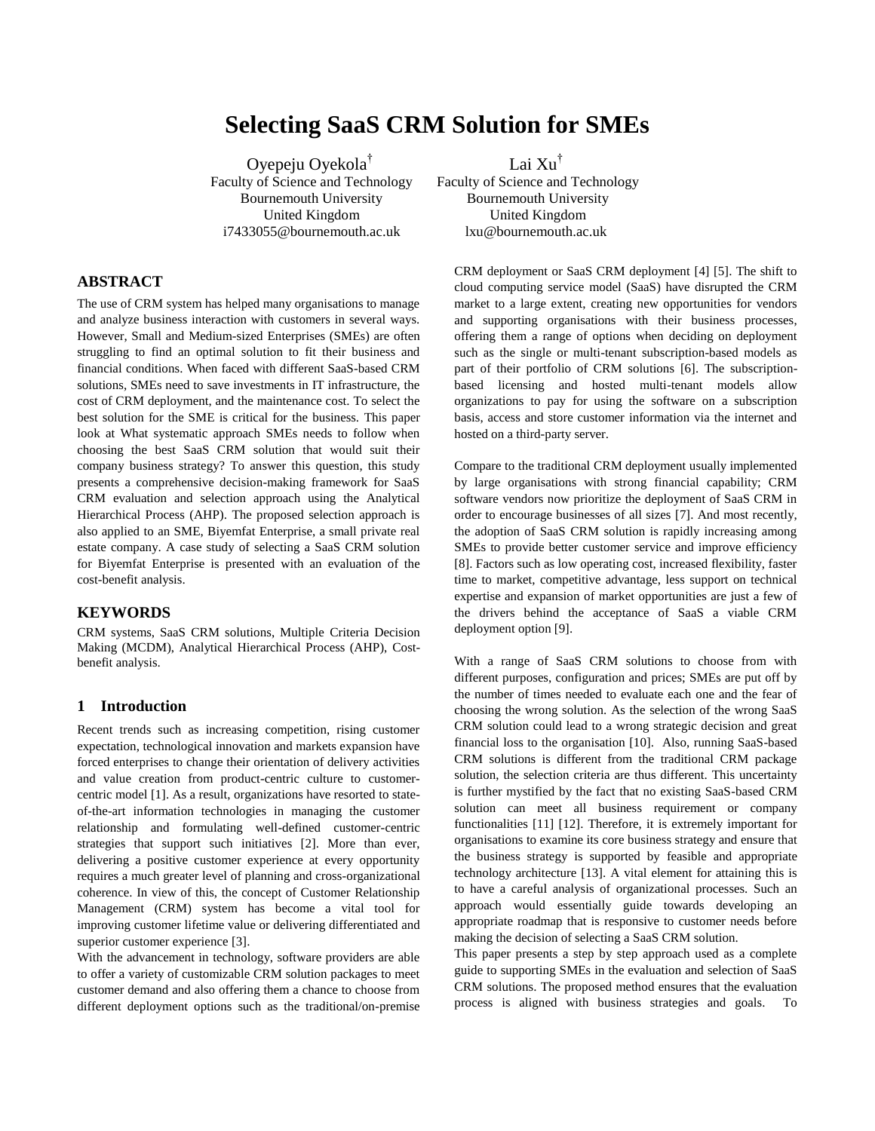# **Selecting SaaS CRM Solution for SMEs**

Oyepeju Oyekola† Faculty of Science and Technology Bournemouth University United Kingdom i7433055@bournemouth.ac.uk

**ABSTRACT**

The use of CRM system has helped many organisations to manage and analyze business interaction with customers in several ways. However, Small and Medium-sized Enterprises (SMEs) are often struggling to find an optimal solution to fit their business and financial conditions. When faced with different SaaS-based CRM solutions, SMEs need to save investments in IT infrastructure, the cost of CRM deployment, and the maintenance cost. To select the best solution for the SME is critical for the business. This paper look at What systematic approach SMEs needs to follow when choosing the best SaaS CRM solution that would suit their company business strategy? To answer this question, this study presents a comprehensive decision-making framework for SaaS CRM evaluation and selection approach using the Analytical Hierarchical Process (AHP). The proposed selection approach is also applied to an SME, Biyemfat Enterprise, a small private real estate company. A case study of selecting a SaaS CRM solution for Biyemfat Enterprise is presented with an evaluation of the cost-benefit analysis.

# **KEYWORDS**

CRM systems, SaaS CRM solutions, Multiple Criteria Decision Making (MCDM), Analytical Hierarchical Process (AHP), Costbenefit analysis.

# **1 Introduction**

Recent trends such as increasing competition, rising customer expectation, technological innovation and markets expansion have forced enterprises to change their orientation of delivery activities and value creation from product-centric culture to customercentric model [1]. As a result, organizations have resorted to stateof-the-art information technologies in managing the customer relationship and formulating well-defined customer-centric strategies that support such initiatives [2]. More than ever, delivering a positive customer experience at every opportunity requires a much greater level of planning and cross-organizational coherence. In view of this, the concept of Customer Relationship Management (CRM) system has become a vital tool for improving customer lifetime value or delivering differentiated and superior customer experience [3].

With the advancement in technology, software providers are able to offer a variety of customizable CRM solution packages to meet customer demand and also offering them a chance to choose from different deployment options such as the traditional/on-premise Lai Xu†

Faculty of Science and Technology Bournemouth University United Kingdom lxu@bournemouth.ac.uk

CRM deployment or SaaS CRM deployment [4] [5]. The shift to cloud computing service model (SaaS) have disrupted the CRM market to a large extent, creating new opportunities for vendors and supporting organisations with their business processes, offering them a range of options when deciding on deployment such as the single or multi-tenant subscription-based models as part of their portfolio of CRM solutions [6]. The subscriptionbased licensing and hosted multi-tenant models allow organizations to pay for using the software on a subscription basis, access and store customer information via the internet and hosted on a third-party server.

Compare to the traditional CRM deployment usually implemented by large organisations with strong financial capability; CRM software vendors now prioritize the deployment of SaaS CRM in order to encourage businesses of all sizes [7]. And most recently, the adoption of SaaS CRM solution is rapidly increasing among SMEs to provide better customer service and improve efficiency [8]. Factors such as low operating cost, increased flexibility, faster time to market, competitive advantage, less support on technical expertise and expansion of market opportunities are just a few of the drivers behind the acceptance of SaaS a viable CRM deployment option [9].

With a range of SaaS CRM solutions to choose from with different purposes, configuration and prices; SMEs are put off by the number of times needed to evaluate each one and the fear of choosing the wrong solution. As the selection of the wrong SaaS CRM solution could lead to a wrong strategic decision and great financial loss to the organisation [10]. Also, running SaaS-based CRM solutions is different from the traditional CRM package solution, the selection criteria are thus different. This uncertainty is further mystified by the fact that no existing SaaS-based CRM solution can meet all business requirement or company functionalities [11] [12]. Therefore, it is extremely important for organisations to examine its core business strategy and ensure that the business strategy is supported by feasible and appropriate technology architecture [13]. A vital element for attaining this is to have a careful analysis of organizational processes. Such an approach would essentially guide towards developing an appropriate roadmap that is responsive to customer needs before making the decision of selecting a SaaS CRM solution.

This paper presents a step by step approach used as a complete guide to supporting SMEs in the evaluation and selection of SaaS CRM solutions. The proposed method ensures that the evaluation process is aligned with business strategies and goals. To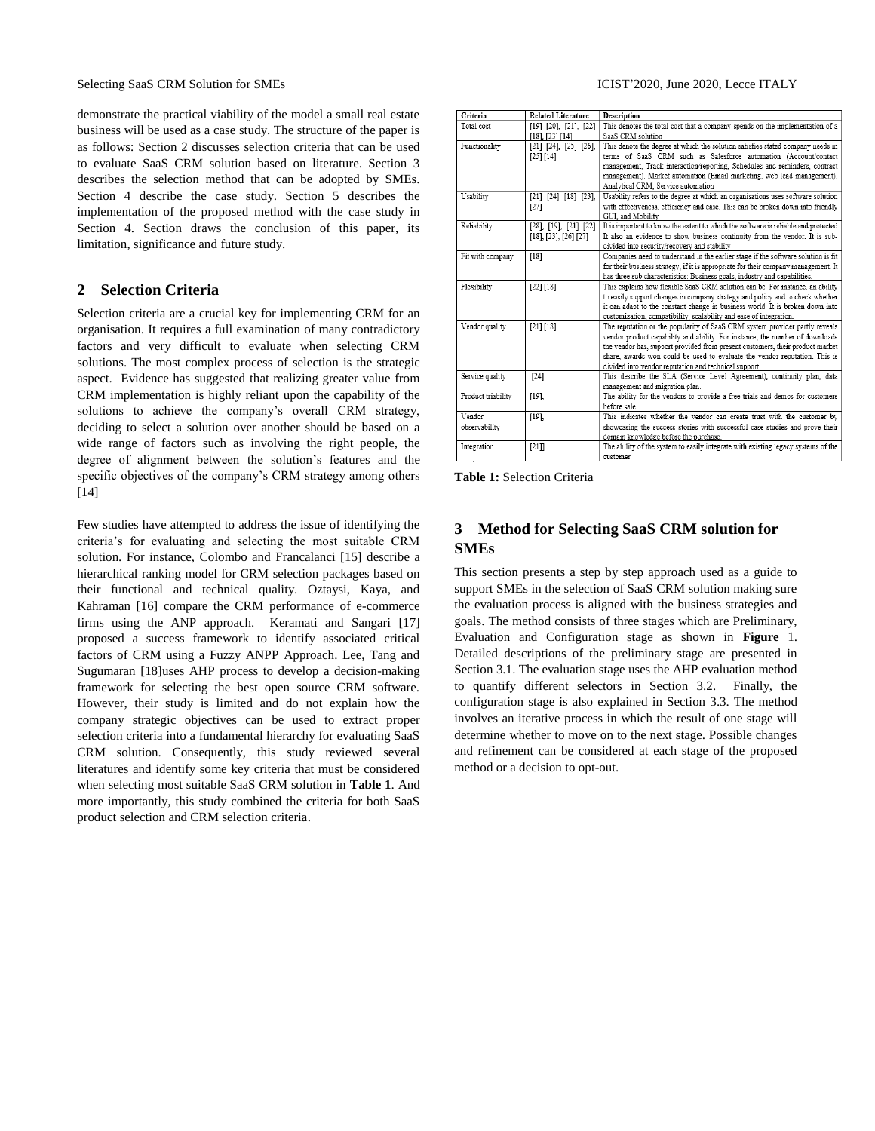demonstrate the practical viability of the model a small real estate business will be used as a case study. The structure of the paper is as follows: Section 2 discusses selection criteria that can be used to evaluate SaaS CRM solution based on literature. Section 3 describes the selection method that can be adopted by SMEs. Section 4 describe the case study. Section 5 describes the implementation of the proposed method with the case study in Section 4. Section draws the conclusion of this paper, its limitation, significance and future study.

# **2 Selection Criteria**

Selection criteria are a crucial key for implementing CRM for an organisation. It requires a full examination of many contradictory factors and very difficult to evaluate when selecting CRM solutions. The most complex process of selection is the strategic aspect. Evidence has suggested that realizing greater value from CRM implementation is highly reliant upon the capability of the solutions to achieve the company's overall CRM strategy, deciding to select a solution over another should be based on a wide range of factors such as involving the right people, the degree of alignment between the solution's features and the specific objectives of the company's CRM strategy among others [14]

Few studies have attempted to address the issue of identifying the criteria's for evaluating and selecting the most suitable CRM solution. For instance, Colombo and Francalanci [15] describe a hierarchical ranking model for CRM selection packages based on their functional and technical quality. Oztaysi, Kaya, and Kahraman [16] compare the CRM performance of e-commerce firms using the ANP approach. Keramati and Sangari [17] proposed a success framework to identify associated critical factors of CRM using a Fuzzy ANPP Approach. Lee, Tang and Sugumaran [18]uses AHP process to develop a decision-making framework for selecting the best open source CRM software. However, their study is limited and do not explain how the company strategic objectives can be used to extract proper selection criteria into a fundamental hierarchy for evaluating SaaS CRM solution. Consequently, this study reviewed several literatures and identify some key criteria that must be considered when selecting most suitable SaaS CRM solution in **Table 1**. And more importantly, this study combined the criteria for both SaaS product selection and CRM selection criteria.

| Criteria           | <b>Related Literature</b>       | <b>Description</b>                                                                                                                                            |
|--------------------|---------------------------------|---------------------------------------------------------------------------------------------------------------------------------------------------------------|
| Total cost         | $[19]$ $[20]$ , $[21]$ , $[22]$ | This denotes the total cost that a company spends on the implementation of a                                                                                  |
|                    | $[18]$ , $[23]$ $[14]$          | SaaS CRM solution                                                                                                                                             |
| Functionality      | $[21]$ $[24]$ , $[25]$ $[26]$ , | This denote the degree at which the solution satisfies stated company needs in                                                                                |
|                    | [25] [14]                       | terms of SaaS CRM such as Salesforce automation (Account/contact                                                                                              |
|                    |                                 | management, Track interaction/reporting, Schedules and reminders, contract                                                                                    |
|                    |                                 | management), Market automation (Email marketing, web lead management),                                                                                        |
|                    |                                 | Analytical CRM, Service automation                                                                                                                            |
| Usability          | $[21]$ $[24]$ $[18]$ $[23]$ ,   | Usability refers to the degree at which an organisations uses software solution                                                                               |
|                    | [27]                            | with effectiveness, efficiency and ease. This can be broken down into friendly                                                                                |
|                    |                                 | GUI. and Mobility                                                                                                                                             |
| Reliability        | $[28]$ , $[19]$ , $[21]$ $[22]$ | It is important to know the extent to which the software is reliable and protected                                                                            |
|                    | $[18]$ , $[23]$ , $[26]$ $[27]$ | It also an evidence to show business continuity from the vendor. It is sub-                                                                                   |
|                    |                                 | divided into security/recovery and stability                                                                                                                  |
| Fit with company   | $[18]$                          | Companies need to understand in the earlier stage if the software solution is fit                                                                             |
|                    |                                 | for their business strategy, if it is appropriate for their company management. It                                                                            |
|                    |                                 | has three sub characteristics: Business goals, industry and capabilities.                                                                                     |
| Flexibility        | [22] [18]                       | This explains how flexible SaaS CRM solution can be. For instance, an ability                                                                                 |
|                    |                                 | to easily support changes in company strategy and policy and to check whether                                                                                 |
|                    |                                 | it can adapt to the constant change in business world. It is broken down into                                                                                 |
|                    |                                 | customization, compatibility, scalability and ease of integration.                                                                                            |
| Vendor quality     | [21] [18]                       | The reputation or the popularity of SaaS CRM system provider partly reveals                                                                                   |
|                    |                                 | vendor product capability and ability. For instance, the number of downloads<br>the vendor has, support provided from present customers, their product market |
|                    |                                 | share, awards won could be used to evaluate the vendor reputation. This is                                                                                    |
|                    |                                 | divided into vendor reputation and technical support                                                                                                          |
| Service quality    | $[24]$                          | This describe the SLA (Service Level Agreement), continuity plan, data                                                                                        |
|                    |                                 | management and migration plan.                                                                                                                                |
| Product triability | [19]                            | The ability for the vendors to provide a free trials and demos for customers                                                                                  |
|                    |                                 | before sale.                                                                                                                                                  |
| Vendor             | [19]                            | This indicates whether the vendor can create trust with the customer by                                                                                       |
| observability      |                                 | showcasing the success stories with successful case studies and prove their                                                                                   |
|                    |                                 | domain knowledge before the purchase.                                                                                                                         |
| Integration        | $[21]$                          | The ability of the system to easily integrate with existing legacy systems of the                                                                             |
|                    |                                 | customer                                                                                                                                                      |

**Table 1:** Selection Criteria

# **3 Method for Selecting SaaS CRM solution for SMEs**

This section presents a step by step approach used as a guide to support SMEs in the selection of SaaS CRM solution making sure the evaluation process is aligned with the business strategies and goals. The method consists of three stages which are Preliminary, Evaluation and Configuration stage as shown in **Figure** 1. Detailed descriptions of the preliminary stage are presented in Section 3.1. The evaluation stage uses the AHP evaluation method to quantify different selectors in Section 3.2. Finally, the configuration stage is also explained in Section 3.3. The method involves an iterative process in which the result of one stage will determine whether to move on to the next stage. Possible changes and refinement can be considered at each stage of the proposed method or a decision to opt-out.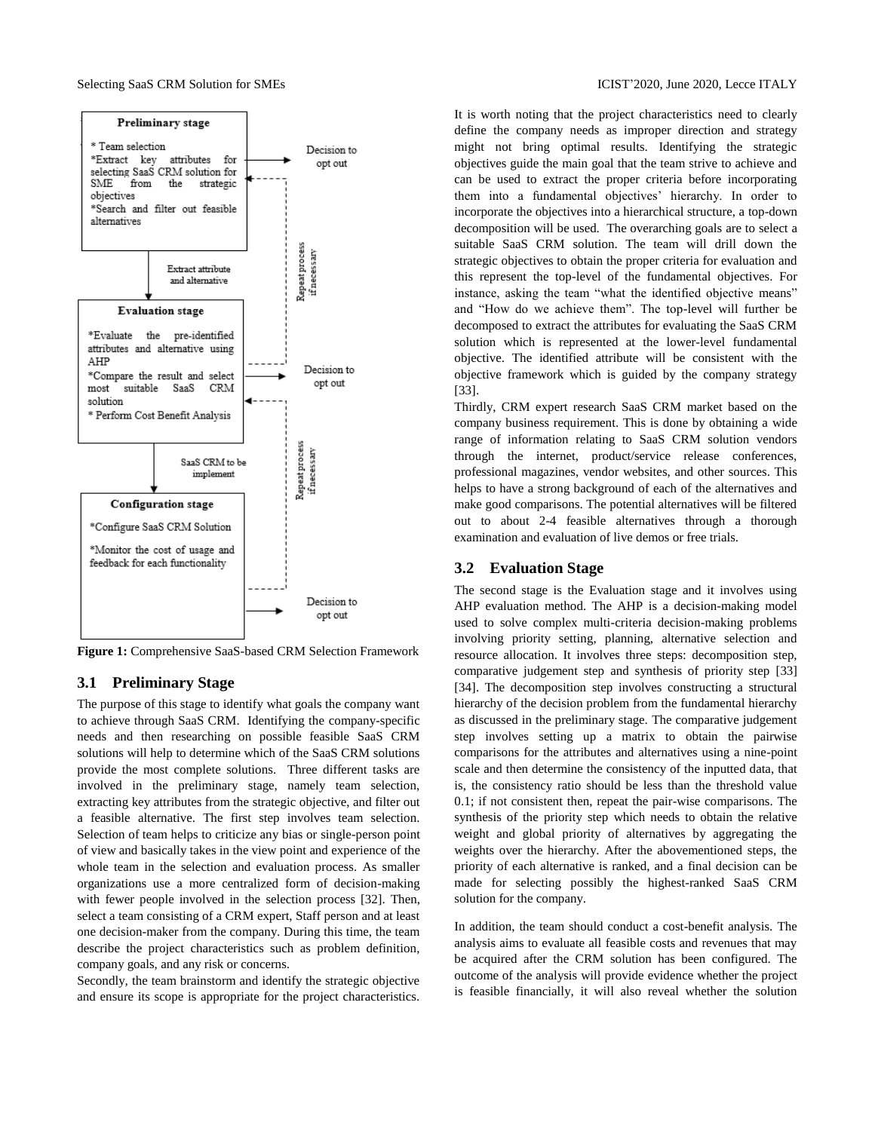

**Figure 1:** Comprehensive SaaS-based CRM Selection Framework

# **3.1 Preliminary Stage**

The purpose of this stage to identify what goals the company want to achieve through SaaS CRM. Identifying the company-specific needs and then researching on possible feasible SaaS CRM solutions will help to determine which of the SaaS CRM solutions provide the most complete solutions. Three different tasks are involved in the preliminary stage, namely team selection, extracting key attributes from the strategic objective, and filter out a feasible alternative. The first step involves team selection. Selection of team helps to criticize any bias or single-person point of view and basically takes in the view point and experience of the whole team in the selection and evaluation process. As smaller organizations use a more centralized form of decision-making with fewer people involved in the selection process [32]. Then, select a team consisting of a CRM expert, Staff person and at least one decision-maker from the company. During this time, the team describe the project characteristics such as problem definition, company goals, and any risk or concerns.

Secondly, the team brainstorm and identify the strategic objective and ensure its scope is appropriate for the project characteristics. It is worth noting that the project characteristics need to clearly define the company needs as improper direction and strategy might not bring optimal results. Identifying the strategic objectives guide the main goal that the team strive to achieve and can be used to extract the proper criteria before incorporating them into a fundamental objectives' hierarchy. In order to incorporate the objectives into a hierarchical structure, a top-down decomposition will be used. The overarching goals are to select a suitable SaaS CRM solution. The team will drill down the strategic objectives to obtain the proper criteria for evaluation and this represent the top-level of the fundamental objectives. For instance, asking the team "what the identified objective means" and "How do we achieve them". The top-level will further be decomposed to extract the attributes for evaluating the SaaS CRM solution which is represented at the lower-level fundamental objective. The identified attribute will be consistent with the objective framework which is guided by the company strategy [33].

Thirdly, CRM expert research SaaS CRM market based on the company business requirement. This is done by obtaining a wide range of information relating to SaaS CRM solution vendors through the internet, product/service release conferences, professional magazines, vendor websites, and other sources. This helps to have a strong background of each of the alternatives and make good comparisons. The potential alternatives will be filtered out to about 2-4 feasible alternatives through a thorough examination and evaluation of live demos or free trials.

# **3.2 Evaluation Stage**

The second stage is the Evaluation stage and it involves using AHP evaluation method. The AHP is a decision-making model used to solve complex multi-criteria decision-making problems involving priority setting, planning, alternative selection and resource allocation. It involves three steps: decomposition step, comparative judgement step and synthesis of priority step [33] [34]. The decomposition step involves constructing a structural hierarchy of the decision problem from the fundamental hierarchy as discussed in the preliminary stage. The comparative judgement step involves setting up a matrix to obtain the pairwise comparisons for the attributes and alternatives using a nine-point scale and then determine the consistency of the inputted data, that is, the consistency ratio should be less than the threshold value 0.1; if not consistent then, repeat the pair-wise comparisons. The synthesis of the priority step which needs to obtain the relative weight and global priority of alternatives by aggregating the weights over the hierarchy. After the abovementioned steps, the priority of each alternative is ranked, and a final decision can be made for selecting possibly the highest-ranked SaaS CRM solution for the company.

In addition, the team should conduct a cost-benefit analysis. The analysis aims to evaluate all feasible costs and revenues that may be acquired after the CRM solution has been configured. The outcome of the analysis will provide evidence whether the project is feasible financially, it will also reveal whether the solution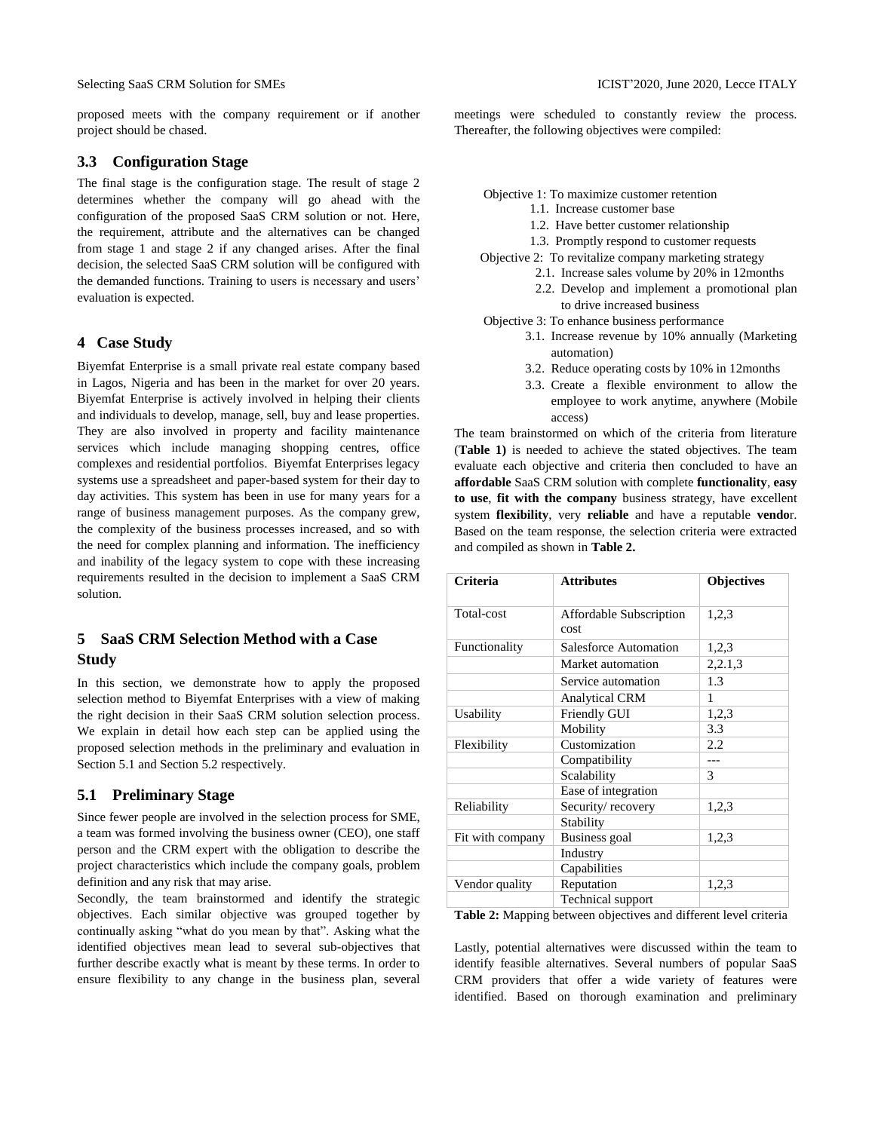proposed meets with the company requirement or if another project should be chased.

# **3.3 Configuration Stage**

The final stage is the configuration stage. The result of stage 2 determines whether the company will go ahead with the configuration of the proposed SaaS CRM solution or not. Here, the requirement, attribute and the alternatives can be changed from stage 1 and stage 2 if any changed arises. After the final decision, the selected SaaS CRM solution will be configured with the demanded functions. Training to users is necessary and users' evaluation is expected.

# **4 Case Study**

Biyemfat Enterprise is a small private real estate company based in Lagos, Nigeria and has been in the market for over 20 years. Biyemfat Enterprise is actively involved in helping their clients and individuals to develop, manage, sell, buy and lease properties. They are also involved in property and facility maintenance services which include managing shopping centres, office complexes and residential portfolios. Biyemfat Enterprises legacy systems use a spreadsheet and paper-based system for their day to day activities. This system has been in use for many years for a range of business management purposes. As the company grew, the complexity of the business processes increased, and so with the need for complex planning and information. The inefficiency and inability of the legacy system to cope with these increasing requirements resulted in the decision to implement a SaaS CRM solution.

# **5 SaaS CRM Selection Method with a Case Study**

In this section, we demonstrate how to apply the proposed selection method to Biyemfat Enterprises with a view of making the right decision in their SaaS CRM solution selection process. We explain in detail how each step can be applied using the proposed selection methods in the preliminary and evaluation in Section 5.1 and Section 5.2 respectively.

# **5.1 Preliminary Stage**

Since fewer people are involved in the selection process for SME, a team was formed involving the business owner (CEO), one staff person and the CRM expert with the obligation to describe the project characteristics which include the company goals, problem definition and any risk that may arise.

Secondly, the team brainstormed and identify the strategic objectives. Each similar objective was grouped together by continually asking "what do you mean by that". Asking what the identified objectives mean lead to several sub-objectives that further describe exactly what is meant by these terms. In order to ensure flexibility to any change in the business plan, several meetings were scheduled to constantly review the process. Thereafter, the following objectives were compiled:

Objective 1: To maximize customer retention

- 1.1. Increase customer base
- 1.2. Have better customer relationship
- 1.3. Promptly respond to customer requests

Objective 2: To revitalize company marketing strategy

- 2.1. Increase sales volume by 20% in 12months
	- 2.2. Develop and implement a promotional plan to drive increased business

Objective 3: To enhance business performance

- 3.1. Increase revenue by 10% annually (Marketing automation)
- 3.2. Reduce operating costs by 10% in 12months
- 3.3. Create a flexible environment to allow the employee to work anytime, anywhere (Mobile access)

The team brainstormed on which of the criteria from literature (**Table 1)** is needed to achieve the stated objectives. The team evaluate each objective and criteria then concluded to have an **affordable** SaaS CRM solution with complete **functionality**, **easy to use**, **fit with the company** business strategy, have excellent system **flexibility**, very **reliable** and have a reputable **vendo**r. Based on the team response, the selection criteria were extracted and compiled as shown in **Table 2.**

| <b>Attributes</b>               | <b>Objectives</b>                                                |
|---------------------------------|------------------------------------------------------------------|
| Affordable Subscription<br>cost | 1,2,3                                                            |
| Salesforce Automation           | 1,2,3                                                            |
| Market automation               | 2,2.1,3                                                          |
| Service automation              | 1.3                                                              |
| <b>Analytical CRM</b>           | 1                                                                |
| Friendly GUI                    | 1,2,3                                                            |
| Mobility                        | 3.3                                                              |
| Customization                   | 2.2                                                              |
| Compatibility                   | ---                                                              |
| Scalability                     | 3                                                                |
| Ease of integration             |                                                                  |
| Security/recovery               | 1,2,3                                                            |
| Stability                       |                                                                  |
| <b>Business</b> goal            | 1,2,3                                                            |
| Industry                        |                                                                  |
| Capabilities                    |                                                                  |
| Reputation                      | 1,2,3                                                            |
| Technical support               |                                                                  |
|                                 | Toble 2. Meaning herman episotives and different lavel exitation |

**Table 2:** Mapping between objectives and different level criteria

Lastly, potential alternatives were discussed within the team to identify feasible alternatives. Several numbers of popular SaaS CRM providers that offer a wide variety of features were identified. Based on thorough examination and preliminary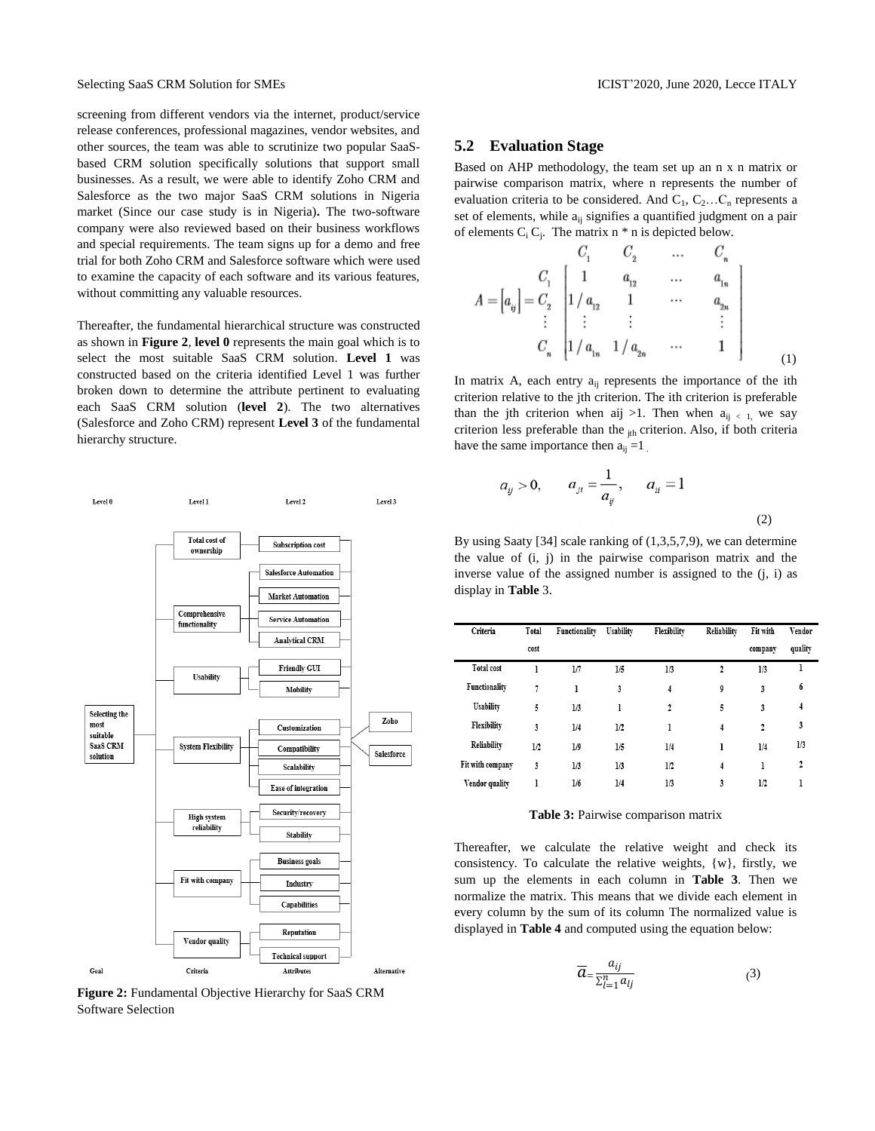screening from different vendors via the internet, product/service release conferences, professional magazines, vendor websites, and other sources, the team was able to scrutinize two popular SaaSbased CRM solution specifically solutions that support small businesses. As a result, we were able to identify Zoho CRM and Salesforce as the two major SaaS CRM solutions in Nigeria market (Since our case study is in Nigeria)**.** The two-software company were also reviewed based on their business workflows and special requirements. The team signs up for a demo and free trial for both Zoho CRM and Salesforce software which were used to examine the capacity of each software and its various features, without committing any valuable resources.

Thereafter, the fundamental hierarchical structure was constructed as shown in **Figure 2**, **level 0** represents the main goal which is to select the most suitable SaaS CRM solution. **Level 1** was constructed based on the criteria identified Level 1 was further broken down to determine the attribute pertinent to evaluating each SaaS CRM solution (**level 2**). The two alternatives (Salesforce and Zoho CRM) represent **Level 3** of the fundamental hierarchy structure.



**Figure 2:** Fundamental Objective Hierarchy for SaaS CRM Software Selection

#### **5.2 Evaluation Stage**

 $\epsilon$ 

Based on AHP methodology, the team set up an n x n matrix or pairwise comparison matrix, where n represents the number of evaluation criteria to be considered. And  $C_1, C_2...C_n$  represents a set of elements, while  $a_{ij}$  signifies a quantified judgment on a pair of elements  $C_i C_j$ . The matrix  $n * n$  is depicted below.

$$
A = \begin{bmatrix} a_{ij} \end{bmatrix} = \begin{bmatrix} C_1 & C_2 & \dots & C_n \\ C_1 & 1 & a_{12} & \dots & a_{1n} \\ 1/a_{12} & 1 & \dots & a_{2n} \\ \vdots & \vdots & \vdots & & \vdots \\ C_n & 1/a_{1n} & 1/a_{2n} & \dots & 1 \end{bmatrix}
$$
 (1)

In matrix A, each entry  $a_{ij}$  represents the importance of the ith criterion relative to the jth criterion. The ith criterion is preferable than the jth criterion when aij >1. Then when  $a_{ii} < 1$ , we say criterion less preferable than the  $_{ith}$  criterion. Also, if both criteria have the same importance then  $a_{ii} = 1$ .

$$
a_{ij} > 0
$$
,  $a_{ji} = \frac{1}{a_{ij}}$ ,  $a_{ii} = 1$  (2)

By using Saaty [34] scale ranking of (1,3,5,7,9), we can determine the value of (i, j) in the pairwise comparison matrix and the inverse value of the assigned number is assigned to the (j, i) as display in **Table** 3.

| Criteria          | Total | Functionality | Usability | Flexibility | Reliability    | Fit with     | Vendor  |
|-------------------|-------|---------------|-----------|-------------|----------------|--------------|---------|
|                   | cost  |               |           |             |                | company      | quality |
| <b>Total cost</b> | 1     | 1/7           | 1/5       | 1/3         | 2              | 1/3          | ı       |
| Functionality     | 7     | ı             | 3         | 4           | 9              | 3            | 6       |
| Usability         | 5     | 1/3           | ı         | 2           | 5              | 3            | 4       |
| Flexibility       | 3     | 1/4           | 1/2       | l           | $\overline{4}$ | $\mathbf{2}$ | 3       |
| Reliability       | 1/2   | 1/9           | 1/5       | 1/4         | ı              | 1/4          | 1/3     |
| Fit with company  | 3     | 1/3           | 1/3       | 1/2         | 4              | ı            | 2       |
| Vendor quality    | ı     | 1/6           | 1/4       | 1/3         | 3              | 1/2          | ı       |
|                   |       |               |           |             |                |              |         |

# **Table 3:** Pairwise comparison matrix

Thereafter, we calculate the relative weight and check its consistency. To calculate the relative weights, {w}, firstly, we sum up the elements in each column in **Table 3**. Then we normalize the matrix. This means that we divide each element in every column by the sum of its column The normalized value is displayed in **Table 4** and computed using the equation below:

$$
\overline{a}_{\equiv} \frac{a_{ij}}{\sum_{l=1}^{n} a_{lj}} \tag{3}
$$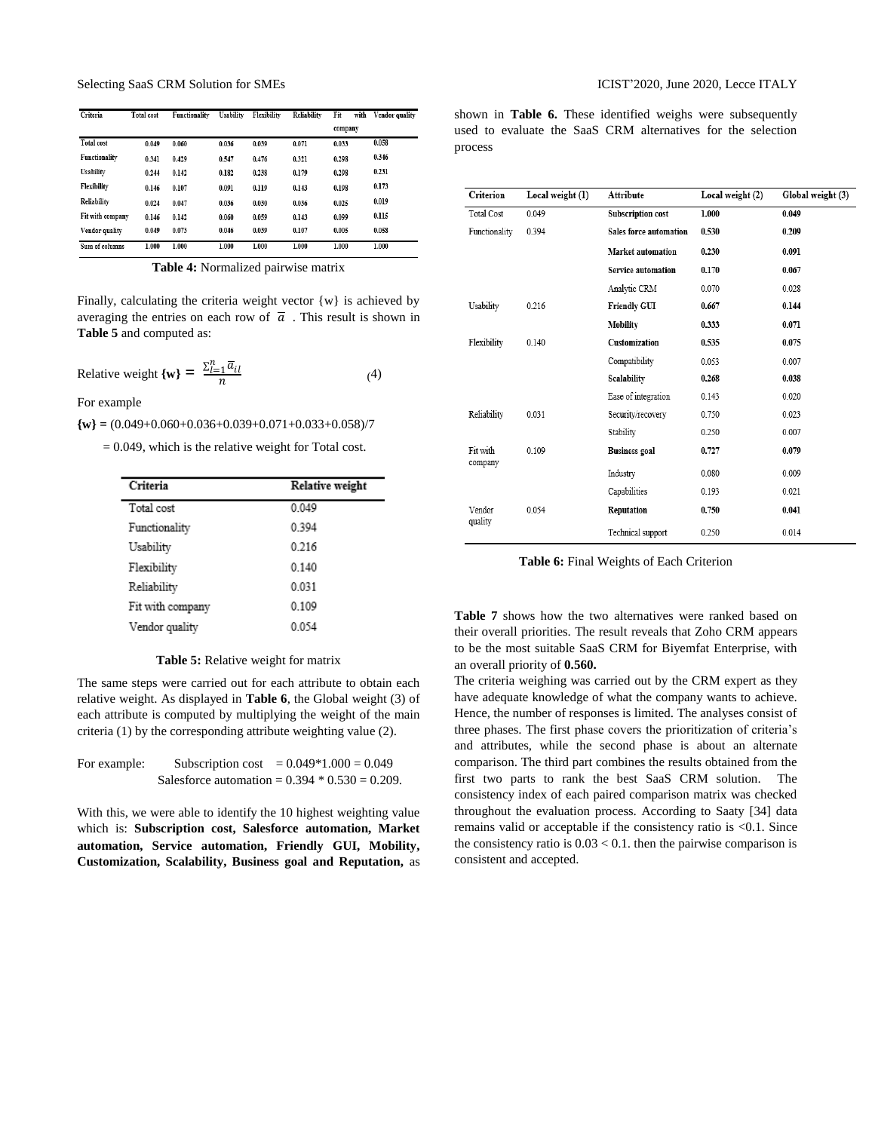Selecting SaaS CRM Solution for SMEs ICIST'2020, June 2020, Lecce ITALY

| Criteria          | <b>Total</b> cost | Functionality | Usability | Flexibility | Reliability | Fit<br>with | Vendor quality |
|-------------------|-------------------|---------------|-----------|-------------|-------------|-------------|----------------|
|                   |                   |               |           |             |             | company     |                |
| <b>Total cost</b> | 0.049             | 0.060         | 0.036     | 0.039       | 0.071       | 0.033       | 0.058          |
| Functionality     | 0.341             | 0.429         | 0.547     | 0.476       | 0.321       | 0.298       | 0.346          |
| Usability         | 0.244             | 0.142         | 0.182     | 0.238       | 0.179       | 0.298       | 0.231          |
| Flexibility       | 0.146             | 0.107         | 0.091     | 0.119       | 0.143       | 0.198       | 0.173          |
| Reliability       | 0.024             | 0.047         | 0.036     | 0.030       | 0.036       | 0.025       | 0.019          |
| Fit with company  | 0.146             | 0.142         | 0.060     | 0.059       | 0.143       | 0.099       | 0.115          |
| Vendor quality    | 0.049             | 0.073         | 0.046     | 0.039       | 0.107       | 0.005       | 0.058          |
| Sum of columns    | 1.000             | 1.000         | 1.000     | 1.000       | 1.000       | 1.000       | 1.000          |

**Table 4:** Normalized pairwise matrix

Finally, calculating the criteria weight vector  $\{w\}$  is achieved by averaging the entries on each row of  $\bar{a}$ . This result is shown in **Table 5** and computed as:

Relative weight 
$$
\{\mathbf{w}\} = \frac{\sum_{l=1}^{n} \overline{a}_{il}}{n}
$$
 (4)

For example

**{w} =** (0.049+0.060+0.036+0.039+0.071+0.033+0.058)/7

 $= 0.049$ , which is the relative weight for Total cost.

| Criteria         | <b>Relative weight</b> |
|------------------|------------------------|
| Total cost       | 0.049                  |
| Functionality    | 0.394                  |
| Usability        | 0.216                  |
| Flexibility      | 0.140                  |
| Reliability      | 0.031                  |
| Fit with company | 0.109                  |
| Vendor quality   | 0054                   |

#### **Table 5:** Relative weight for matrix

The same steps were carried out for each attribute to obtain each relative weight. As displayed in **Table 6**, the Global weight (3) of each attribute is computed by multiplying the weight of the main criteria (1) by the corresponding attribute weighting value (2).

| For example: | Subscription cost | $= 0.049*1.000 = 0.049$                           |
|--------------|-------------------|---------------------------------------------------|
|              |                   | Salesforce automation = $0.394 * 0.530 = 0.209$ . |

With this, we were able to identify the 10 highest weighting value which is: **Subscription cost, Salesforce automation, Market automation, Service automation, Friendly GUI, Mobility, Customization, Scalability, Business goal and Reputation,** as shown in **Table 6.** These identified weighs were subsequently used to evaluate the SaaS CRM alternatives for the selection process

| Criterion           | Local weight (1) | Attribute                 | Local weight (2) | Global weight (3) |
|---------------------|------------------|---------------------------|------------------|-------------------|
| <b>Total Cost</b>   | 0.049            | <b>Subscription cost</b>  | 1.000            | 0.049             |
| Functionality       | 0.394            | Sales force automation    | 0.530            | 0.209             |
|                     |                  | <b>Market automation</b>  | 0.230            | 0.091             |
|                     |                  | <b>Service automation</b> | 0.170            | 0.067             |
|                     |                  | Analytic CRM              | 0.070            | 0.028             |
| Usability           | 0.216            | <b>Friendly GUI</b>       | 0.667            | 0.144             |
|                     |                  | Mobility                  | 0.333            | 0.071             |
| Flexibility         | 0.140            | Customization             | 0.535            | 0.075             |
|                     |                  | Compatibility             | 0.053            | 0.007             |
|                     |                  | Scalability               | 0.268            | 0.038             |
|                     |                  | Ease of integration       | 0.143            | 0.020             |
| Reliability         | 0.031            | Security/recovery         | 0.750            | 0.023             |
|                     |                  | Stability                 | 0.250            | 0.007             |
| Fit with<br>company | 0.109            | <b>Business</b> goal      | 0.727            | 0.079             |
|                     |                  | Industry                  | 0.080            | 0.009             |
|                     |                  | Capabilities              | 0.193            | 0.021             |
| Vendor<br>quality   | 0.054            | Reputation                | 0.750            | 0.041             |
|                     |                  | Technical support         | 0.250            | 0.014             |

**Table 6:** Final Weights of Each Criterion

**Table 7** shows how the two alternatives were ranked based on their overall priorities. The result reveals that Zoho CRM appears to be the most suitable SaaS CRM for Biyemfat Enterprise, with an overall priority of **0.560.**

The criteria weighing was carried out by the CRM expert as they have adequate knowledge of what the company wants to achieve. Hence, the number of responses is limited. The analyses consist of three phases. The first phase covers the prioritization of criteria's and attributes, while the second phase is about an alternate comparison. The third part combines the results obtained from the first two parts to rank the best SaaS CRM solution. The consistency index of each paired comparison matrix was checked throughout the evaluation process. According to Saaty [34] data remains valid or acceptable if the consistency ratio is <0.1. Since the consistency ratio is  $0.03 < 0.1$ . then the pairwise comparison is consistent and accepted.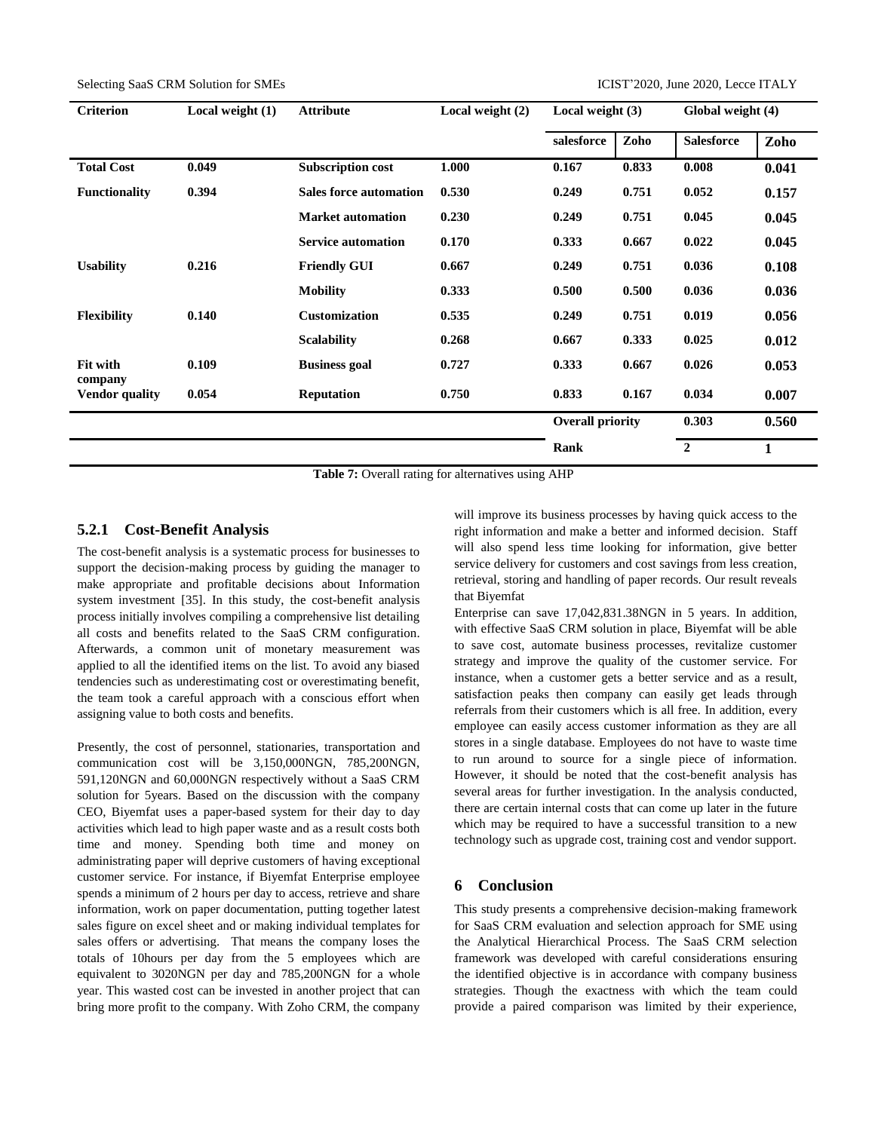| <b>Criterion</b>      | Local weight $(1)$ | <b>Attribute</b>              | Local weight $(2)$ | Local weight $(3)$               |       | Global weight (4) |       |
|-----------------------|--------------------|-------------------------------|--------------------|----------------------------------|-------|-------------------|-------|
|                       |                    |                               |                    | salesforce                       | Zoho  | <b>Salesforce</b> | Zoho  |
| <b>Total Cost</b>     | 0.049              | <b>Subscription cost</b>      | 1.000              | 0.167                            | 0.833 | 0.008             | 0.041 |
| <b>Functionality</b>  | 0.394              | <b>Sales force automation</b> | 0.530              | 0.249                            | 0.751 | 0.052             | 0.157 |
|                       |                    | <b>Market automation</b>      | 0.230              | 0.249                            | 0.751 | 0.045             | 0.045 |
|                       |                    | <b>Service automation</b>     | 0.170              | 0.333                            | 0.667 | 0.022             | 0.045 |
| <b>Usability</b>      | 0.216              | <b>Friendly GUI</b>           | 0.667              | 0.249                            | 0.751 | 0.036             | 0.108 |
|                       |                    | <b>Mobility</b>               | 0.333              | 0.500                            | 0.500 | 0.036             | 0.036 |
| <b>Flexibility</b>    | 0.140              | <b>Customization</b>          | 0.535              | 0.249                            | 0.751 | 0.019             | 0.056 |
|                       |                    | <b>Scalability</b>            | 0.268              | 0.667                            | 0.333 | 0.025             | 0.012 |
| Fit with<br>company   | 0.109              | <b>Business goal</b>          | 0.727              | 0.333                            | 0.667 | 0.026             | 0.053 |
| <b>Vendor</b> quality | 0.054              | <b>Reputation</b>             | 0.750              | 0.833                            | 0.167 | 0.034             | 0.007 |
|                       |                    |                               |                    | <b>Overall priority</b><br>0.303 |       |                   | 0.560 |
|                       |                    |                               |                    | Rank                             |       | $\overline{2}$    | 1     |

**Table 7:** Overall rating for alternatives using AHP

# **5.2.1 Cost-Benefit Analysis**

The cost-benefit analysis is a systematic process for businesses to support the decision-making process by guiding the manager to make appropriate and profitable decisions about Information system investment [35]. In this study, the cost-benefit analysis process initially involves compiling a comprehensive list detailing all costs and benefits related to the SaaS CRM configuration. Afterwards, a common unit of monetary measurement was applied to all the identified items on the list. To avoid any biased tendencies such as underestimating cost or overestimating benefit, the team took a careful approach with a conscious effort when assigning value to both costs and benefits.

Presently, the cost of personnel, stationaries, transportation and communication cost will be 3,150,000NGN, 785,200NGN, 591,120NGN and 60,000NGN respectively without a SaaS CRM solution for 5years. Based on the discussion with the company CEO, Biyemfat uses a paper-based system for their day to day activities which lead to high paper waste and as a result costs both time and money. Spending both time and money on administrating paper will deprive customers of having exceptional customer service. For instance, if Biyemfat Enterprise employee spends a minimum of 2 hours per day to access, retrieve and share information, work on paper documentation, putting together latest sales figure on excel sheet and or making individual templates for sales offers or advertising. That means the company loses the totals of 10hours per day from the 5 employees which are equivalent to 3020NGN per day and 785,200NGN for a whole year. This wasted cost can be invested in another project that can bring more profit to the company. With Zoho CRM, the company

will improve its business processes by having quick access to the right information and make a better and informed decision. Staff will also spend less time looking for information, give better service delivery for customers and cost savings from less creation, retrieval, storing and handling of paper records. Our result reveals that Biyemfat

Enterprise can save 17,042,831.38NGN in 5 years. In addition, with effective SaaS CRM solution in place, Biyemfat will be able to save cost, automate business processes, revitalize customer strategy and improve the quality of the customer service. For instance, when a customer gets a better service and as a result, satisfaction peaks then company can easily get leads through referrals from their customers which is all free. In addition, every employee can easily access customer information as they are all stores in a single database. Employees do not have to waste time to run around to source for a single piece of information. However, it should be noted that the cost-benefit analysis has several areas for further investigation. In the analysis conducted, there are certain internal costs that can come up later in the future which may be required to have a successful transition to a new technology such as upgrade cost, training cost and vendor support.

# **6 Conclusion**

This study presents a comprehensive decision-making framework for SaaS CRM evaluation and selection approach for SME using the Analytical Hierarchical Process. The SaaS CRM selection framework was developed with careful considerations ensuring the identified objective is in accordance with company business strategies. Though the exactness with which the team could provide a paired comparison was limited by their experience,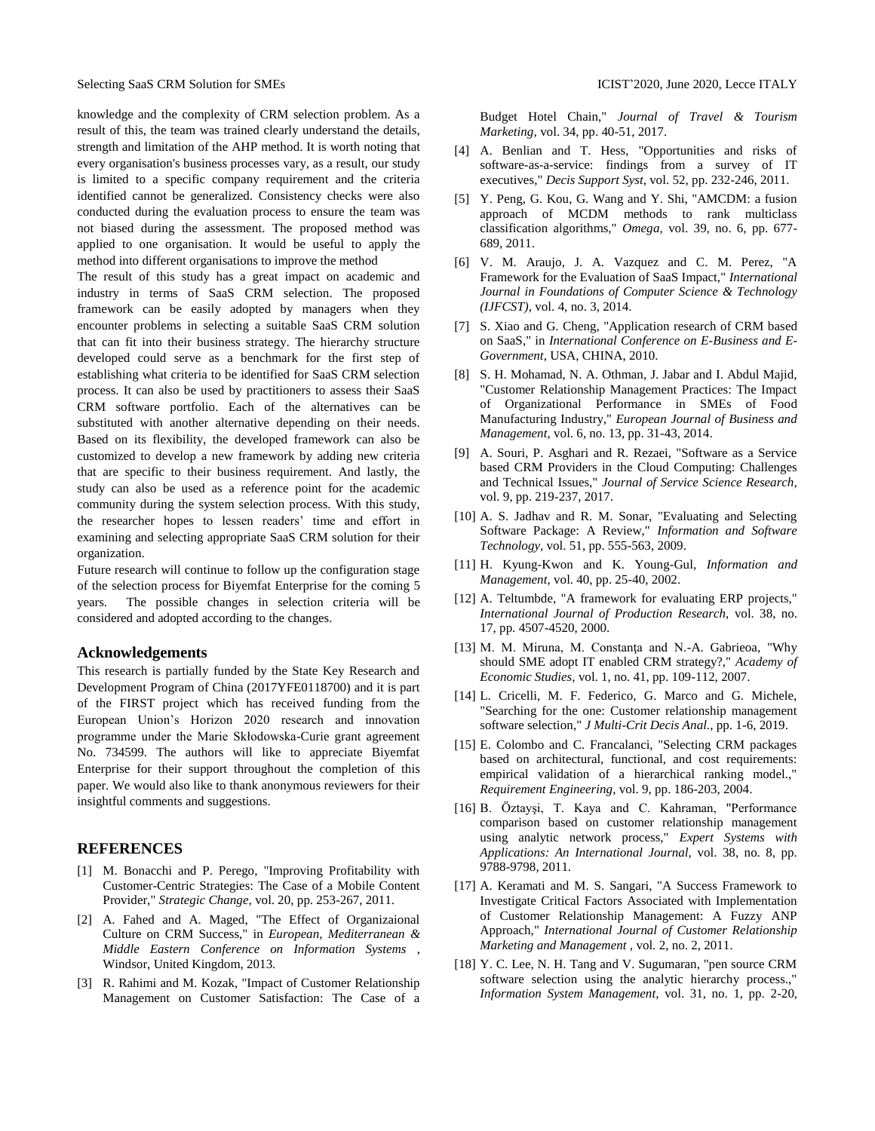knowledge and the complexity of CRM selection problem. As a result of this, the team was trained clearly understand the details, strength and limitation of the AHP method. It is worth noting that every organisation's business processes vary, as a result, our study is limited to a specific company requirement and the criteria identified cannot be generalized. Consistency checks were also conducted during the evaluation process to ensure the team was not biased during the assessment. The proposed method was applied to one organisation. It would be useful to apply the method into different organisations to improve the method

The result of this study has a great impact on academic and industry in terms of SaaS CRM selection. The proposed framework can be easily adopted by managers when they encounter problems in selecting a suitable SaaS CRM solution that can fit into their business strategy. The hierarchy structure developed could serve as a benchmark for the first step of establishing what criteria to be identified for SaaS CRM selection process. It can also be used by practitioners to assess their SaaS CRM software portfolio. Each of the alternatives can be substituted with another alternative depending on their needs. Based on its flexibility, the developed framework can also be customized to develop a new framework by adding new criteria that are specific to their business requirement. And lastly, the study can also be used as a reference point for the academic community during the system selection process. With this study, the researcher hopes to lessen readers' time and effort in examining and selecting appropriate SaaS CRM solution for their organization.

Future research will continue to follow up the configuration stage of the selection process for Biyemfat Enterprise for the coming 5 years. The possible changes in selection criteria will be considered and adopted according to the changes.

# **Acknowledgements**

This research is partially funded by the State Key Research and Development Program of China (2017YFE0118700) and it is part of the FIRST project which has received funding from the European Union's Horizon 2020 research and innovation programme under the Marie Skłodowska-Curie grant agreement No. 734599. The authors will like to appreciate Biyemfat Enterprise for their support throughout the completion of this paper. We would also like to thank anonymous reviewers for their insightful comments and suggestions.

# **REFERENCES**

- [1] M. Bonacchi and P. Perego, "Improving Profitability with Customer-Centric Strategies: The Case of a Mobile Content Provider," *Strategic Change,* vol. 20, pp. 253-267, 2011.
- [2] A. Fahed and A. Maged, "The Effect of Organizaional Culture on CRM Success," in *European, Mediterranean & Middle Eastern Conference on Information Systems* , Windsor, United Kingdom, 2013.
- [3] R. Rahimi and M. Kozak, "Impact of Customer Relationship Management on Customer Satisfaction: The Case of a

Budget Hotel Chain," *Journal of Travel & Tourism Marketing,* vol. 34, pp. 40-51, 2017.

- [4] A. Benlian and T. Hess, "Opportunities and risks of software-as-a-service: findings from a survey of IT executives," *Decis Support Syst,* vol. 52, pp. 232-246, 2011.
- [5] Y. Peng, G. Kou, G. Wang and Y. Shi, "AMCDM: a fusion approach of MCDM methods to rank multiclass classification algorithms," *Omega,* vol. 39, no. 6, pp. 677- 689, 2011.
- [6] V. M. Araujo, J. A. Vazquez and C. M. Perez, "A Framework for the Evaluation of SaaS Impact," *International Journal in Foundations of Computer Science & Technology (IJFCST),* vol. 4, no. 3, 2014.
- [7] S. Xiao and G. Cheng, "Application research of CRM based on SaaS," in *International Conference on E-Business and E-Government*, USA, CHINA, 2010.
- [8] S. H. Mohamad, N. A. Othman, J. Jabar and I. Abdul Majid, "Customer Relationship Management Practices: The Impact of Organizational Performance in SMEs of Food Manufacturing Industry," *European Journal of Business and Management,* vol. 6, no. 13, pp. 31-43, 2014.
- [9] A. Souri, P. Asghari and R. Rezaei, "Software as a Service based CRM Providers in the Cloud Computing: Challenges and Technical Issues," *Journal of Service Science Research,*  vol. 9, pp. 219-237, 2017.
- [10] A. S. Jadhav and R. M. Sonar, "Evaluating and Selecting Software Package: A Review," *Information and Software Technology,* vol. 51, pp. 555-563, 2009.
- [11] H. Kyung-Kwon and K. Young-Gul, *Information and Management,* vol. 40, pp. 25-40, 2002.
- [12] A. Teltumbde, "A framework for evaluating ERP projects," *International Journal of Production Research,* vol. 38, no. 17, pp. 4507-4520, 2000.
- [13] M. M. Miruna, M. Constanta and N.-A. Gabrieoa, "Why should SME adopt IT enabled CRM strategy?," *Academy of Economic Studies,* vol. 1, no. 41, pp. 109-112, 2007.
- [14] L. Cricelli, M. F. Federico, G. Marco and G. Michele, "Searching for the one: Customer relationship management software selection," *J Multi-Crit Decis Anal.,* pp. 1-6, 2019.
- [15] E. Colombo and C. Francalanci, "Selecting CRM packages based on architectural, functional, and cost requirements: empirical validation of a hierarchical ranking model.," *Requirement Engineering,* vol. 9, pp. 186-203, 2004.
- [16] B. Öztayşi, T. Kaya and C. Kahraman, "Performance comparison based on customer relationship management using analytic network process," *Expert Systems with Applications: An International Journal,* vol. 38, no. 8, pp. 9788-9798, 2011.
- [17] A. Keramati and M. S. Sangari, "A Success Framework to Investigate Critical Factors Associated with Implementation of Customer Relationship Management: A Fuzzy ANP Approach," *International Journal of Customer Relationship Marketing and Management ,* vol. 2, no. 2, 2011.
- [18] Y. C. Lee, N. H. Tang and V. Sugumaran, "pen source CRM software selection using the analytic hierarchy process.," *Information System Management,* vol. 31, no. 1, pp. 2-20,